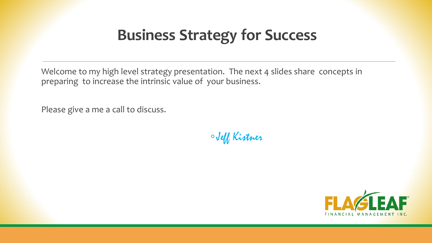# **Business Strategy for Success**

Welcome to my high level strategy presentation. The next 4 slides share concepts in preparing to increase the intrinsic value of your business.

Please give a me a call to discuss.

◦Jeff Kistner

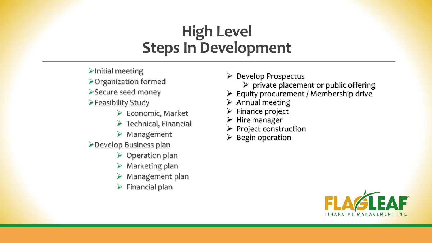# **High Level Steps In Development**

- ➢Initial meeting
- ➢Organization formed
- ➢Secure seed money
- ➢Feasibility Study
	- $\triangleright$  Economic, Market
	- $\triangleright$  Technical, Financial
	- ➢ Management
- ➢Develop Business plan
	- ➢ Operation plan
	- $\triangleright$  Marketing plan
	- $\triangleright$  Management plan
	- $\triangleright$  Financial plan
- ➢ Develop Prospectus
	- $\triangleright$  private placement or public offering
- ➢ Equity procurement / Membership drive
- $\triangleright$  Annual meeting
- ➢ Finance project
- ➢ Hire manager
- $\triangleright$  Project construction
- $\triangleright$  Begin operation

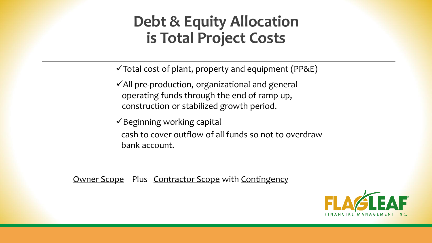## **Debt & Equity Allocation is Total Project Costs**

 $\checkmark$  Total cost of plant, property and equipment (PP&E)

 $\checkmark$  All pre-production, organizational and general operating funds through the end of ramp up, construction or stabilized growth period.

 $\checkmark$ Beginning working capital cash to cover outflow of all funds so not to overdraw bank account.

Owner Scope Plus Contractor Scope with Contingency

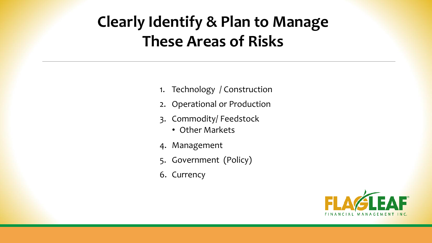# **Clearly Identify & Plan to Manage These Areas of Risks**

- 1. Technology / Construction
- 2. Operational or Production
- 3. Commodity/ Feedstock
	- Other Markets
- 4. Management
- 5. Government (Policy)
- 6. Currency

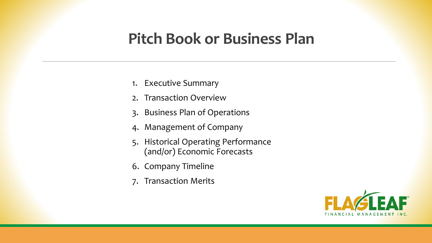### **Pitch Book or Business Plan**

- 1. Executive Summary
- 2. Transaction Overview
- 3. Business Plan of Operations
- 4. Management of Company
- 5. Historical Operating Performance (and/or) Economic Forecasts
- 6. Company Timeline
- 7. Transaction Merits